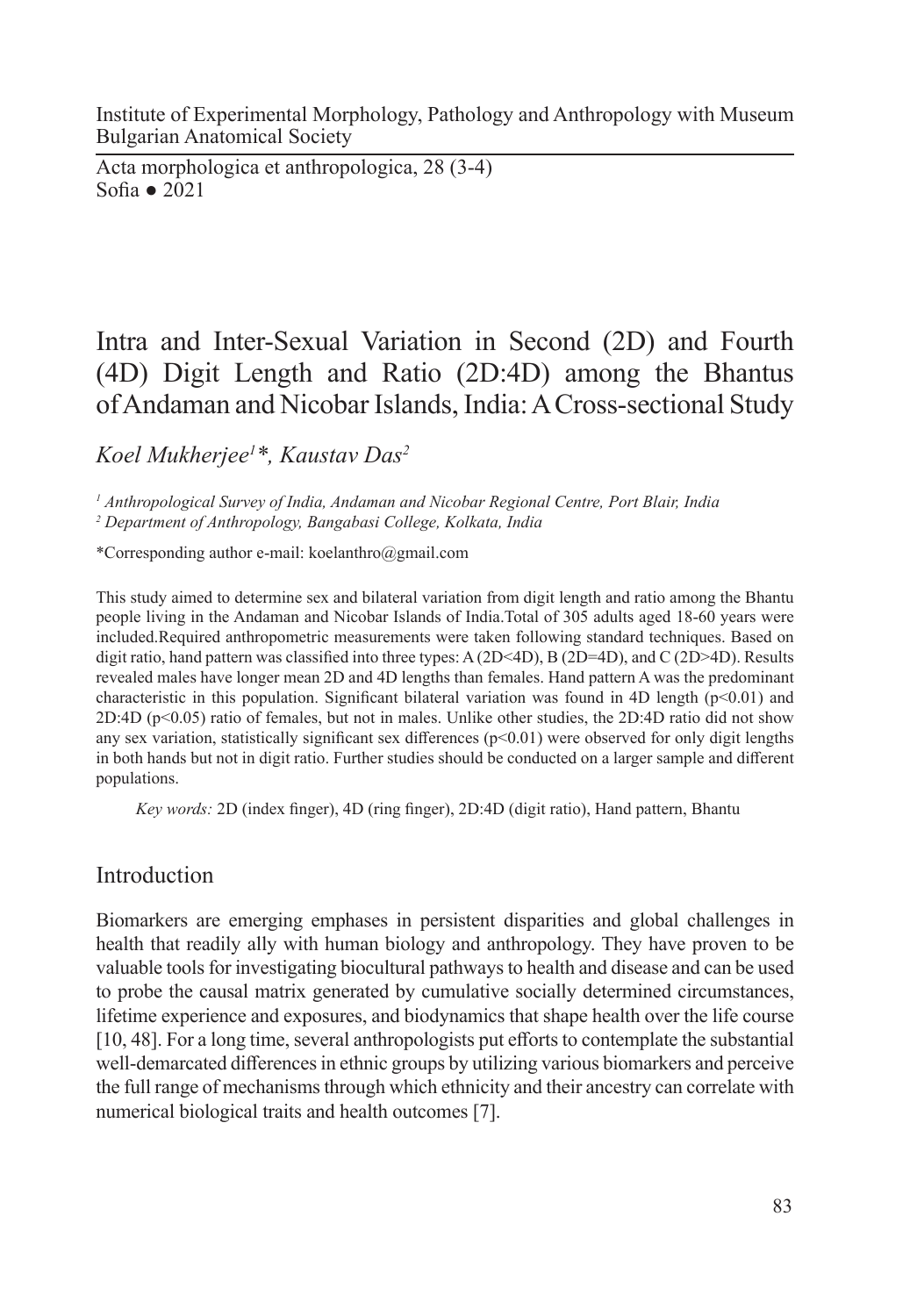Institute of Experimental Morphology, Pathology and Anthropology with Museum Bulgarian Anatomical Society

Acta morphologica et anthropologica, 28 (3-4) Sofia ● 2021

# Intra and Inter-Sexual Variation in Second (2D) and Fourth (4D) Digit Length and Ratio (2D:4D) among the Bhantus of Andaman and Nicobar Islands, India: A Cross-sectional Study

*Koel Mukherjee1 \*, Kaustav Das2*

*1 Anthropological Survey of India, Andaman and Nicobar Regional Centre, Port Blair, India*

*2 Department of Anthropology, Bangabasi College, Kolkata, India* 

\*Corresponding author e-mail: koelanthro@gmail.com

This study aimed to determine sex and bilateral variation from digit length and ratio among the Bhantu people living in the Andaman and Nicobar Islands of India.Total of 305 adults aged 18-60 years were included.Required anthropometric measurements were taken following standard techniques. Based on digit ratio, hand pattern was classified into three types: A (2D<4D), B (2D=4D), and C (2D>4D). Results revealed males have longer mean 2D and 4D lengths than females. Hand pattern A was the predominant characteristic in this population. Significant bilateral variation was found in 4D length  $(p<0.01)$  and 2D:4D (p<0.05) ratio of females, but not in males. Unlike other studies, the 2D:4D ratio did not show any sex variation, statistically significant sex differences ( $p<0.01$ ) were observed for only digit lengths in both hands but not in digit ratio. Further studies should be conducted on a larger sample and different populations.

*Key words:* 2D (index finger), 4D (ring finger), 2D:4D (digit ratio), Hand pattern, Bhantu

## Introduction

Biomarkers are emerging emphases in persistent disparities and global challenges in health that readily ally with human biology and anthropology. They have proven to be valuable tools for investigating biocultural pathways to health and disease and can be used to probe the causal matrix generated by cumulative socially determined circumstances, lifetime experience and exposures, and biodynamics that shape health over the life course [10, 48]. For a long time, several anthropologists put efforts to contemplate the substantial well-demarcated differences in ethnic groups by utilizing various biomarkers and perceive the full range of mechanisms through which ethnicity and their ancestry can correlate with numerical biological traits and health outcomes [7].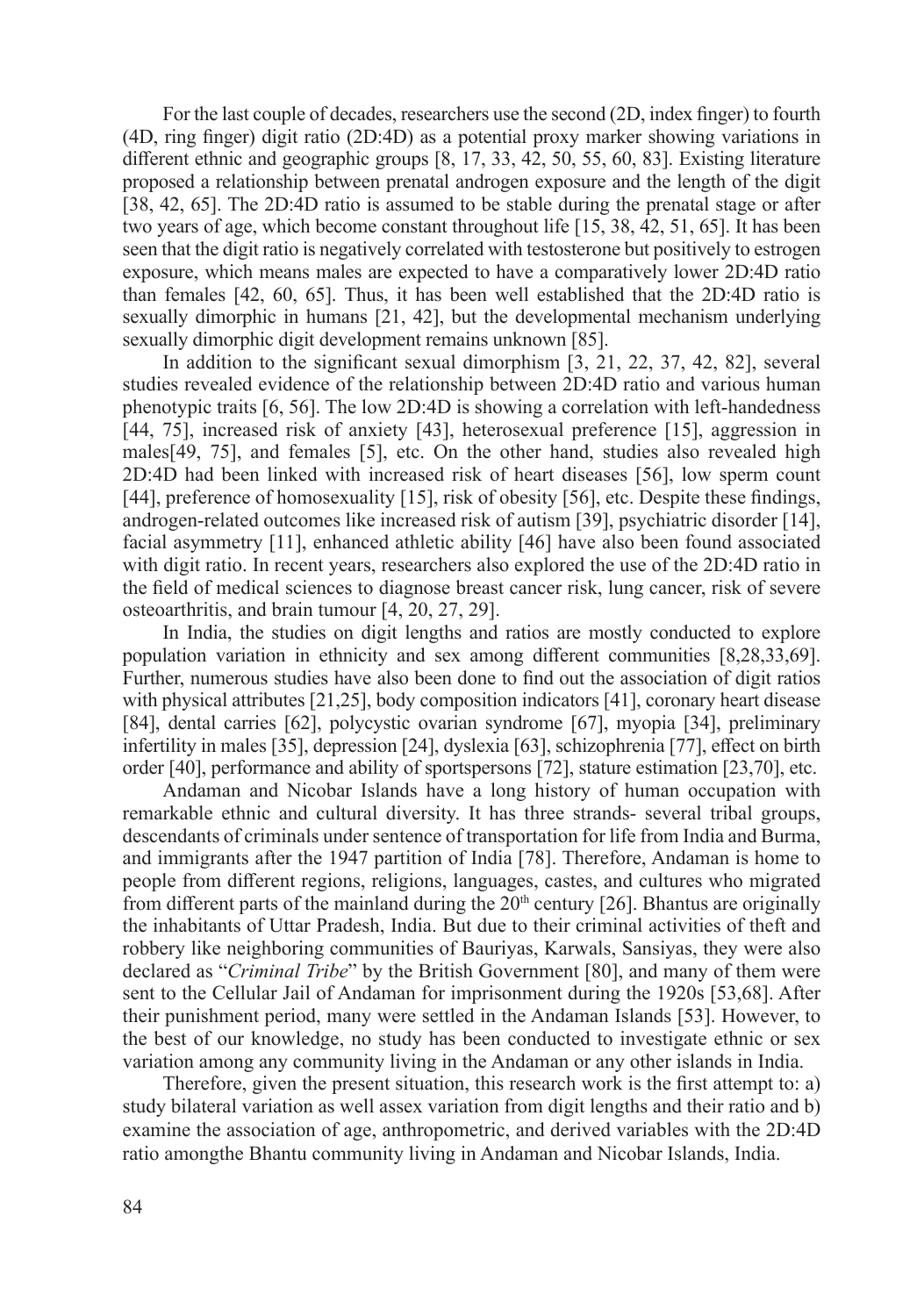For the last couple of decades, researchers use the second (2D, index finger) to fourth (4D, ring finger) digit ratio (2D:4D) as a potential proxy marker showing variations in different ethnic and geographic groups [8, 17, 33, 42, 50, 55, 60, 83]. Existing literature proposed a relationship between prenatal androgen exposure and the length of the digit [38, 42, 65]. The 2D:4D ratio is assumed to be stable during the prenatal stage or after two years of age, which become constant throughout life [15, 38, 42, 51, 65]. It has been seen that the digit ratio is negatively correlated with testosterone but positively to estrogen exposure, which means males are expected to have a comparatively lower 2D:4D ratio than females [42, 60, 65]. Thus, it has been well established that the 2D:4D ratio is sexually dimorphic in humans [21, 42], but the developmental mechanism underlying sexually dimorphic digit development remains unknown [85].

In addition to the significant sexual dimorphism [3, 21, 22, 37, 42, 82], several studies revealed evidence of the relationship between 2D:4D ratio and various human phenotypic traits [6, 56]. The low 2D:4D is showing a correlation with left-handedness [44, 75], increased risk of anxiety [43], heterosexual preference [15], aggression in males[49, 75], and females [5], etc. On the other hand, studies also revealed high 2D:4D had been linked with increased risk of heart diseases [56], low sperm count [44], preference of homosexuality [15], risk of obesity [56], etc. Despite these findings, androgen-related outcomes like increased risk of autism [39], psychiatric disorder [14], facial asymmetry [11], enhanced athletic ability [46] have also been found associated with digit ratio. In recent years, researchers also explored the use of the 2D:4D ratio in the field of medical sciences to diagnose breast cancer risk, lung cancer, risk of severe osteoarthritis, and brain tumour [4, 20, 27, 29].

In India, the studies on digit lengths and ratios are mostly conducted to explore population variation in ethnicity and sex among different communities [8,28,33,69]. Further, numerous studies have also been done to find out the association of digit ratios with physical attributes [21,25], body composition indicators [41], coronary heart disease [84], dental carries [62], polycystic ovarian syndrome [67], myopia [34], preliminary infertility in males [35], depression [24], dyslexia [63], schizophrenia [77], effect on birth order [40], performance and ability of sportspersons [72], stature estimation [23,70], etc.

Andaman and Nicobar Islands have a long history of human occupation with remarkable ethnic and cultural diversity. It has three strands- several tribal groups, descendants of criminals under sentence of transportation for life from India and Burma, and immigrants after the 1947 partition of India [78]. Therefore, Andaman is home to people from different regions, religions, languages, castes, and cultures who migrated from different parts of the mainland during the  $20<sup>th</sup>$  century [26]. Bhantus are originally the inhabitants of Uttar Pradesh, India. But due to their criminal activities of theft and robbery like neighboring communities of Bauriyas, Karwals, Sansiyas, they were also declared as "*Criminal Tribe*" by the British Government [80], and many of them were sent to the Cellular Jail of Andaman for imprisonment during the 1920s [53,68]. After their punishment period, many were settled in the Andaman Islands [53]. However, to the best of our knowledge, no study has been conducted to investigate ethnic or sex variation among any community living in the Andaman or any other islands in India.

Therefore, given the present situation, this research work is the first attempt to: a) study bilateral variation as well assex variation from digit lengths and their ratio and b) examine the association of age, anthropometric, and derived variables with the 2D:4D ratio amongthe Bhantu community living in Andaman and Nicobar Islands, India.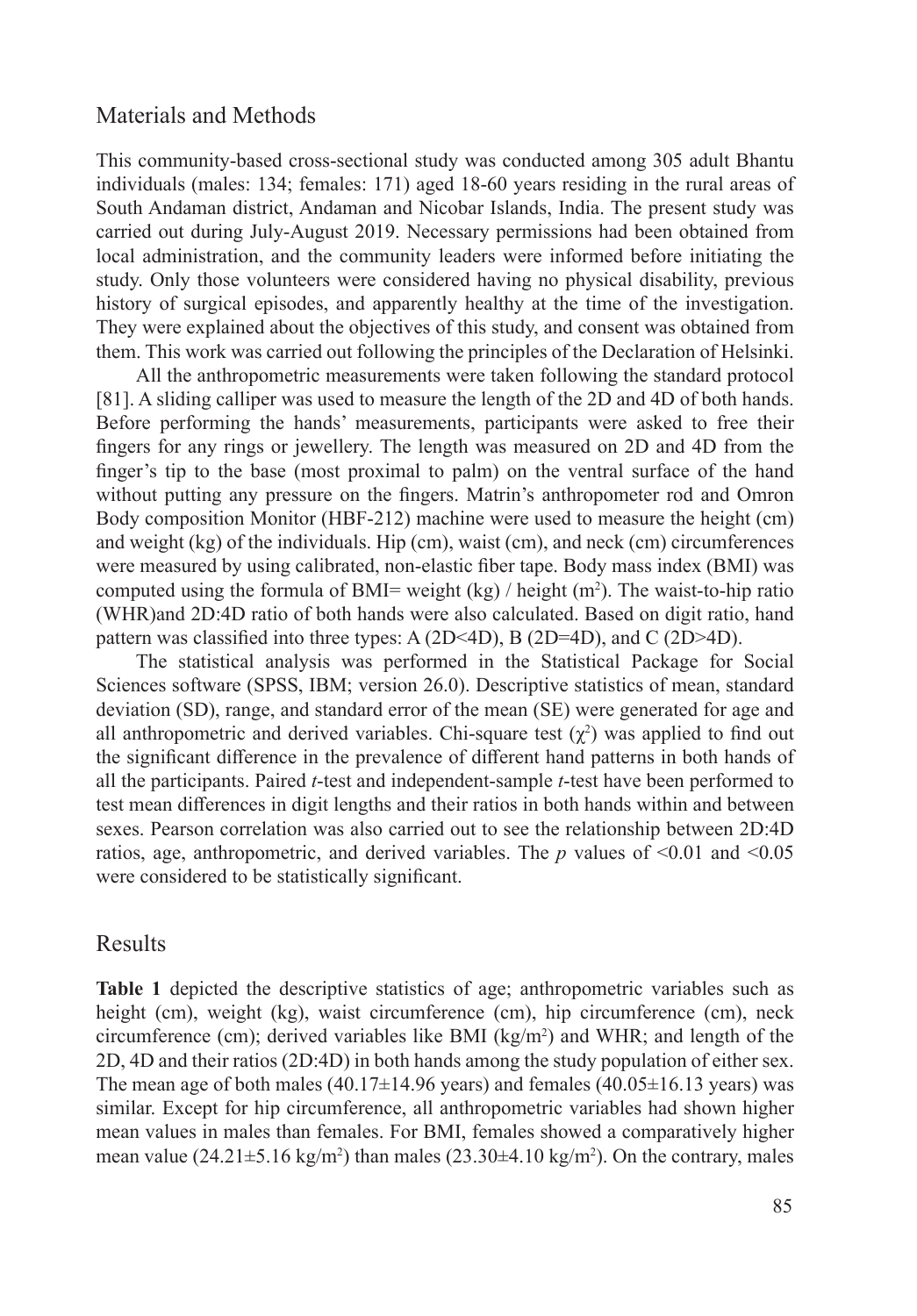#### Materials and Methods

This community-based cross-sectional study was conducted among 305 adult Bhantu individuals (males: 134; females: 171) aged 18-60 years residing in the rural areas of South Andaman district, Andaman and Nicobar Islands, India. The present study was carried out during July-August 2019. Necessary permissions had been obtained from local administration, and the community leaders were informed before initiating the study. Only those volunteers were considered having no physical disability, previous history of surgical episodes, and apparently healthy at the time of the investigation. They were explained about the objectives of this study, and consent was obtained from them. This work was carried out following the principles of the Declaration of Helsinki.

All the anthropometric measurements were taken following the standard protocol [81]. A sliding calliper was used to measure the length of the 2D and 4D of both hands. Before performing the hands' measurements, participants were asked to free their fingers for any rings or jewellery. The length was measured on 2D and 4D from the finger's tip to the base (most proximal to palm) on the ventral surface of the hand without putting any pressure on the fingers. Matrin's anthropometer rod and Omron Body composition Monitor (HBF-212) machine were used to measure the height (cm) and weight (kg) of the individuals. Hip (cm), waist (cm), and neck (cm) circumferences were measured by using calibrated, non-elastic fiber tape. Body mass index (BMI) was computed using the formula of BMI= weight (kg) / height (m<sup>2</sup> ). The waist-to-hip ratio (WHR)and 2D:4D ratio of both hands were also calculated. Based on digit ratio, hand pattern was classified into three types: A (2D<4D), B (2D=4D), and C (2D>4D).

The statistical analysis was performed in the Statistical Package for Social Sciences software (SPSS, IBM; version 26.0). Descriptive statistics of mean, standard deviation (SD), range, and standard error of the mean (SE) were generated for age and all anthropometric and derived variables. Chi-square test  $(\chi^2)$  was applied to find out the significant difference in the prevalence of different hand patterns in both hands of all the participants. Paired *t*-test and independent-sample *t*-test have been performed to test mean differences in digit lengths and their ratios in both hands within and between sexes. Pearson correlation was also carried out to see the relationship between 2D:4D ratios, age, anthropometric, and derived variables. The *p* values of  $\leq 0.01$  and  $\leq 0.05$ were considered to be statistically significant.

#### Results

**Table 1** depicted the descriptive statistics of age; anthropometric variables such as height (cm), weight (kg), waist circumference (cm), hip circumference (cm), neck circumference (cm); derived variables like BMI ( $kg/m<sup>2</sup>$ ) and WHR; and length of the 2D, 4D and their ratios (2D:4D) in both hands among the study population of either sex. The mean age of both males  $(40.17\pm14.96$  years) and females  $(40.05\pm16.13$  years) was similar. Except for hip circumference, all anthropometric variables had shown higher mean values in males than females. For BMI, females showed a comparatively higher mean value (24.21 $\pm$ 5.16 kg/m<sup>2</sup>) than males (23.30 $\pm$ 4.10 kg/m<sup>2</sup>). On the contrary, males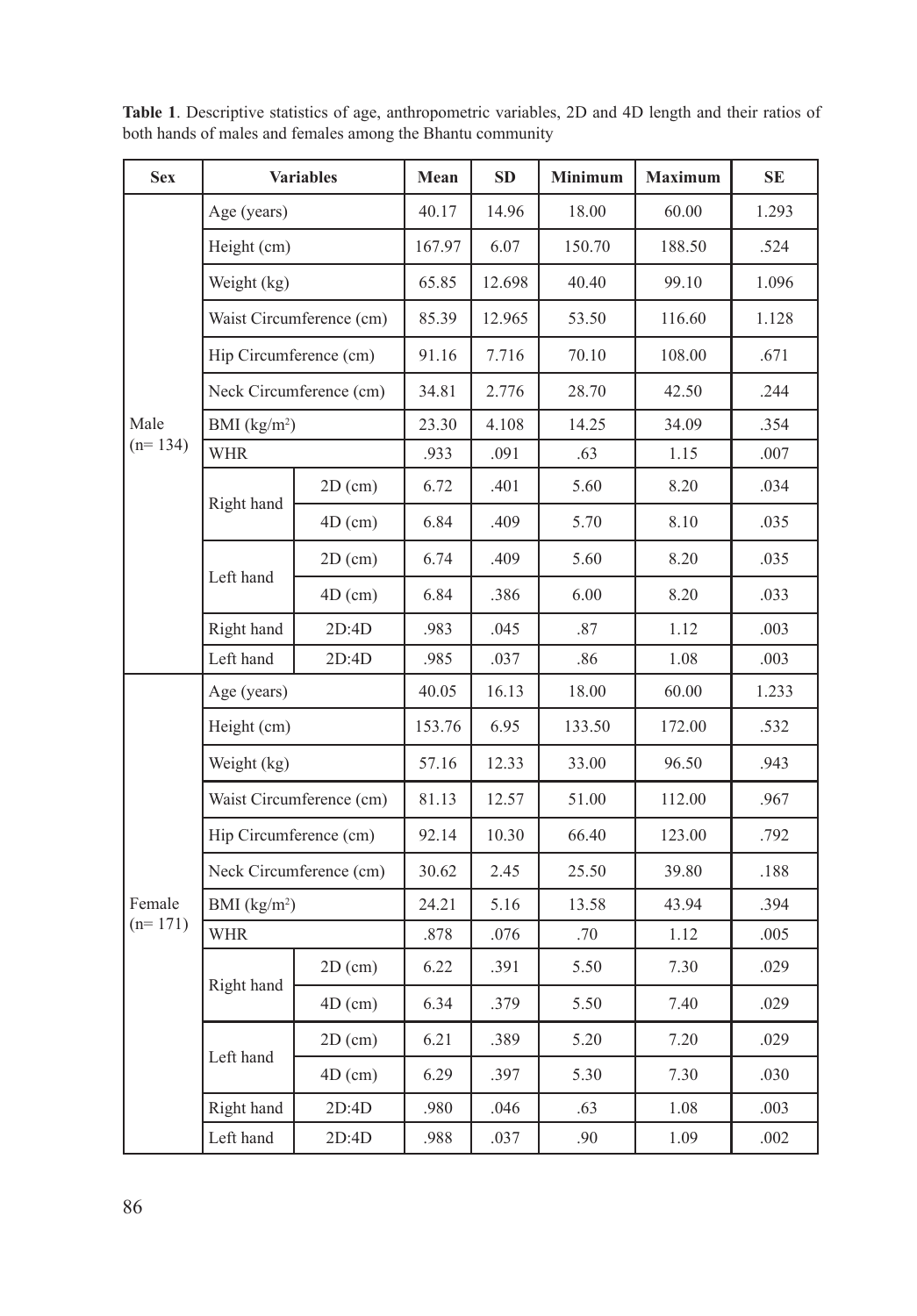| <b>Sex</b> | <b>Variables</b>        |                          | Mean   | SD     | Minimum | <b>Maximum</b> | $\rm SE$ |
|------------|-------------------------|--------------------------|--------|--------|---------|----------------|----------|
|            | Age (years)             |                          | 40.17  | 14.96  | 18.00   | 60.00          | 1.293    |
|            | Height (cm)             |                          | 167.97 | 6.07   | 150.70  | 188.50         | .524     |
|            | Weight (kg)             |                          | 65.85  | 12.698 | 40.40   | 99.10          | 1.096    |
|            |                         | Waist Circumference (cm) | 85.39  | 12.965 | 53.50   | 116.60         | 1.128    |
|            | Hip Circumference (cm)  |                          | 91.16  | 7.716  | 70.10   | 108.00         | .671     |
|            | Neck Circumference (cm) |                          | 34.81  | 2.776  | 28.70   | 42.50          | .244     |
| Male       | BMI $(kg/m2)$           |                          | 23.30  | 4.108  | 14.25   | 34.09          | .354     |
| $(n=134)$  | <b>WHR</b>              |                          | .933   | .091   | .63     | 1.15           | .007     |
|            |                         | $2D$ (cm)                | 6.72   | .401   | 5.60    | 8.20           | .034     |
|            | Right hand              | $4D$ (cm)                | 6.84   | .409   | 5.70    | 8.10           | .035     |
|            | Left hand               | $2D$ (cm)                | 6.74   | .409   | 5.60    | 8.20           | .035     |
|            |                         | $4D$ (cm)                | 6.84   | .386   | 6.00    | 8.20           | .033     |
|            | Right hand              | 2D:4D                    | .983   | .045   | $.87\,$ | 1.12           | .003     |
|            | Left hand               | 2D:4D                    | .985   | .037   | .86     | 1.08           | .003     |
|            | Age (years)             |                          | 40.05  | 16.13  | 18.00   | 60.00          | 1.233    |
|            | Height (cm)             |                          | 153.76 | 6.95   | 133.50  | 172.00         | .532     |
|            | Weight (kg)             |                          | 57.16  | 12.33  | 33.00   | 96.50          | .943     |
|            |                         | Waist Circumference (cm) | 81.13  | 12.57  | 51.00   | 112.00         | .967     |
|            | Hip Circumference (cm)  |                          | 92.14  | 10.30  | 66.40   | 123.00         | .792     |
|            |                         | Neck Circumference (cm)  | 30.62  | 2.45   | 25.50   | 39.80          | .188     |
| Female     | BMI $(kg/m2)$           |                          | 24.21  | 5.16   | 13.58   | 43.94          | .394     |
| $(n=171)$  | <b>WHR</b>              |                          | .878   | .076   | .70     | 1.12           | .005     |
|            |                         | $2D$ (cm)                | 6.22   | .391   | 5.50    | 7.30           | .029     |
|            | Right hand              | $4D$ (cm)                | 6.34   | .379   | 5.50    | 7.40           | .029     |
|            | Left hand               | $2D$ (cm)                | 6.21   | .389   | 5.20    | 7.20           | .029     |
|            |                         | $4D$ (cm)                | 6.29   | .397   | 5.30    | 7.30           | .030     |
|            | Right hand              | 2D:4D                    | .980   | .046   | .63     | 1.08           | .003     |
|            | Left hand               | 2D:4D                    | .988   | .037   | .90     | 1.09           | .002     |

**Table 1**. Descriptive statistics of age, anthropometric variables, 2D and 4D length and their ratios of both hands of males and females among the Bhantu community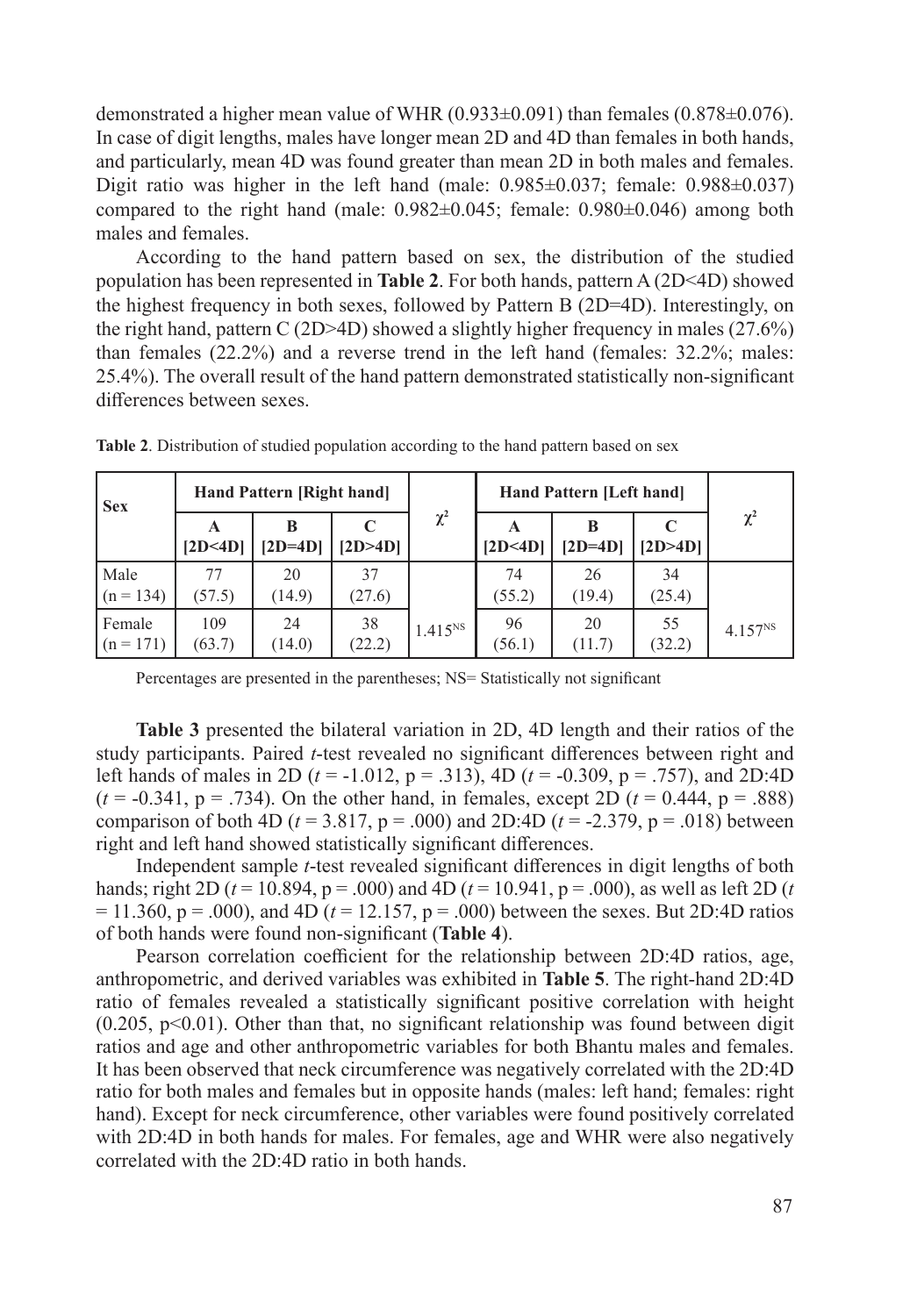demonstrated a higher mean value of WHR  $(0.933\pm0.091)$  than females  $(0.878\pm0.076)$ . In case of digit lengths, males have longer mean 2D and 4D than females in both hands, and particularly, mean 4D was found greater than mean 2D in both males and females. Digit ratio was higher in the left hand (male:  $0.985\pm0.037$ ; female:  $0.988\pm0.037$ ) compared to the right hand (male:  $0.982 \pm 0.045$ ; female:  $0.980 \pm 0.046$ ) among both males and females.

According to the hand pattern based on sex, the distribution of the studied population has been represented in **Table 2**. For both hands, pattern A (2D<4D) showed the highest frequency in both sexes, followed by Pattern B (2D=4D). Interestingly, on the right hand, pattern C (2D>4D) showed a slightly higher frequency in males (27.6%) than females (22.2%) and a reverse trend in the left hand (females: 32.2%; males: 25.4%). The overall result of the hand pattern demonstrated statistically non-significant differences between sexes.

| <b>Sex</b>            | Hand Pattern [Right hand] |              |              |              | Hand Pattern [Left hand] |              |              |                     |
|-----------------------|---------------------------|--------------|--------------|--------------|--------------------------|--------------|--------------|---------------------|
|                       | A<br>[2D<4D]              | $[2D=4D]$    | [2D>4D]      | $\chi^2$     | [2D<4D]                  | $[2D=4D]$    | [2D>4D]      | $\chi^2$            |
| Male<br>$(n = 134)$   | 77<br>(57.5)              | 20<br>(14.9) | 37<br>(27.6) |              | 74<br>(55.2)             | 26<br>(19.4) | 34<br>(25.4) |                     |
| Female<br>$(n = 171)$ | 109<br>(63.7)             | 24<br>(14.0) | 38<br>(22.2) | $1.415^{NS}$ | 96<br>(56.1)             | 20<br>(11.7) | 55<br>(32.2) | 4.157 <sup>NS</sup> |

**Table 2**. Distribution of studied population according to the hand pattern based on sex

Percentages are presented in the parentheses; NS= Statistically not significant

**Table 3** presented the bilateral variation in 2D, 4D length and their ratios of the study participants. Paired *t*-test revealed no significant differences between right and left hands of males in 2D (*t* = -1.012, p = .313), 4D (*t* = -0.309, p = .757), and 2D:4D  $(t = -0.341, p = .734)$ . On the other hand, in females, except 2D  $(t = 0.444, p = .888)$ comparison of both 4D ( $t = 3.817$ ,  $p = .000$ ) and 2D:4D ( $t = -2.379$ ,  $p = .018$ ) between right and left hand showed statistically significant differences.

Independent sample *t*-test revealed significant differences in digit lengths of both hands; right 2D ( $t = 10.894$ ,  $p = .000$ ) and 4D ( $t = 10.941$ ,  $p = .000$ ), as well as left 2D ( $t = 10.941$  $= 11.360$ ,  $p = .000$ ), and 4D ( $t = 12.157$ ,  $p = .000$ ) between the sexes. But 2D:4D ratios of both hands were found non-significant (**Table 4**).

Pearson correlation coefficient for the relationship between 2D:4D ratios, age, anthropometric, and derived variables was exhibited in **Table 5**. The right-hand 2D:4D ratio of females revealed a statistically significant positive correlation with height  $(0.205, p<0.01)$ . Other than that, no significant relationship was found between digit ratios and age and other anthropometric variables for both Bhantu males and females. It has been observed that neck circumference was negatively correlated with the 2D:4D ratio for both males and females but in opposite hands (males: left hand; females: right hand). Except for neck circumference, other variables were found positively correlated with 2D:4D in both hands for males. For females, age and WHR were also negatively correlated with the 2D:4D ratio in both hands.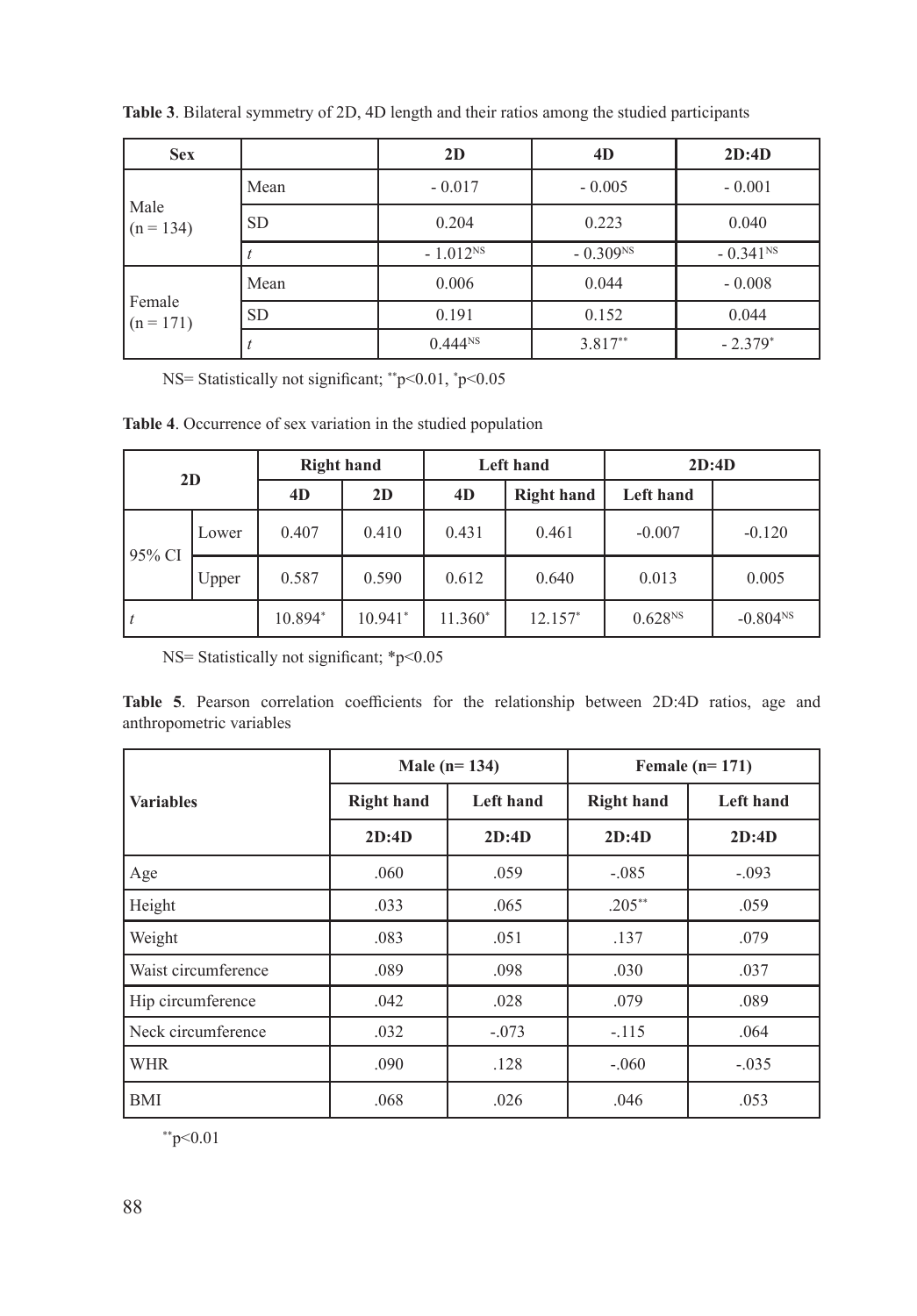| <b>Sex</b>            |           | 2D            | 4D         | 2D:4D                  |
|-----------------------|-----------|---------------|------------|------------------------|
|                       | Mean      | $-0.017$      | $-0.005$   | $-0.001$               |
| Male<br>$(n = 134)$   | <b>SD</b> | 0.204         | 0.223      | 0.040                  |
|                       |           | $-1.012^{NS}$ | $-0.309NS$ | $-0.341$ <sup>NS</sup> |
|                       | Mean      | 0.006         | 0.044      | $-0.008$               |
| Female<br>$(n = 171)$ | <b>SD</b> | 0.191         | 0.152      | 0.044                  |
|                       |           | $0.444^{NS}$  | $3.817**$  | $-2.379*$              |

**Table 3**. Bilateral symmetry of 2D, 4D length and their ratios among the studied participants

NS= Statistically not significant; \*\*p<0.01, \* p<0.05

**Table 4**. Occurrence of sex variation in the studied population

| 2D        |       | <b>Right hand</b> |           | <b>Left hand</b> |                   | 2D:4D               |            |
|-----------|-------|-------------------|-----------|------------------|-------------------|---------------------|------------|
|           |       | 4D                | 2D        | 4D               | <b>Right hand</b> | Left hand           |            |
| $95\%$ CI | Lower | 0.407             | 0.410     | 0.431            | 0.461             | $-0.007$            | $-0.120$   |
|           | Upper | 0.587             | 0.590     | 0.612            | 0.640             | 0.013               | 0.005      |
|           |       | 10.894*           | $10.941*$ | $11.360*$        | $12.157*$         | 0.628 <sup>NS</sup> | $-0.804NS$ |

NS= Statistically not significant; \*p<0.05

**Table 5**. Pearson correlation coefficients for the relationship between 2D:4D ratios, age and anthropometric variables

|                     |                   | Male $(n=134)$   | Female $(n=171)$  |                  |  |
|---------------------|-------------------|------------------|-------------------|------------------|--|
| <b>Variables</b>    | <b>Right hand</b> | <b>Left</b> hand | <b>Right hand</b> | <b>Left hand</b> |  |
|                     | 2D:4D             | 2D:4D            | 2D:4D             | 2D:4D            |  |
| Age                 | .060              | .059             | $-.085$           | $-.093$          |  |
| Height              | .033              | .065             | $.205***$         | .059             |  |
| Weight              | .083              | .051             | .137              | .079             |  |
| Waist circumference | .089              | .098             | .030              | .037             |  |
| Hip circumference   | .042              | .028             | .079              | .089             |  |
| Neck circumference  | .032              | $-.073$          | $-.115$           | .064             |  |
| <b>WHR</b>          | .090              | .128             | $-.060$           | $-.035$          |  |
| <b>BMI</b>          | .068              | .026             | .046              | .053             |  |

 $*$ \*p<0.01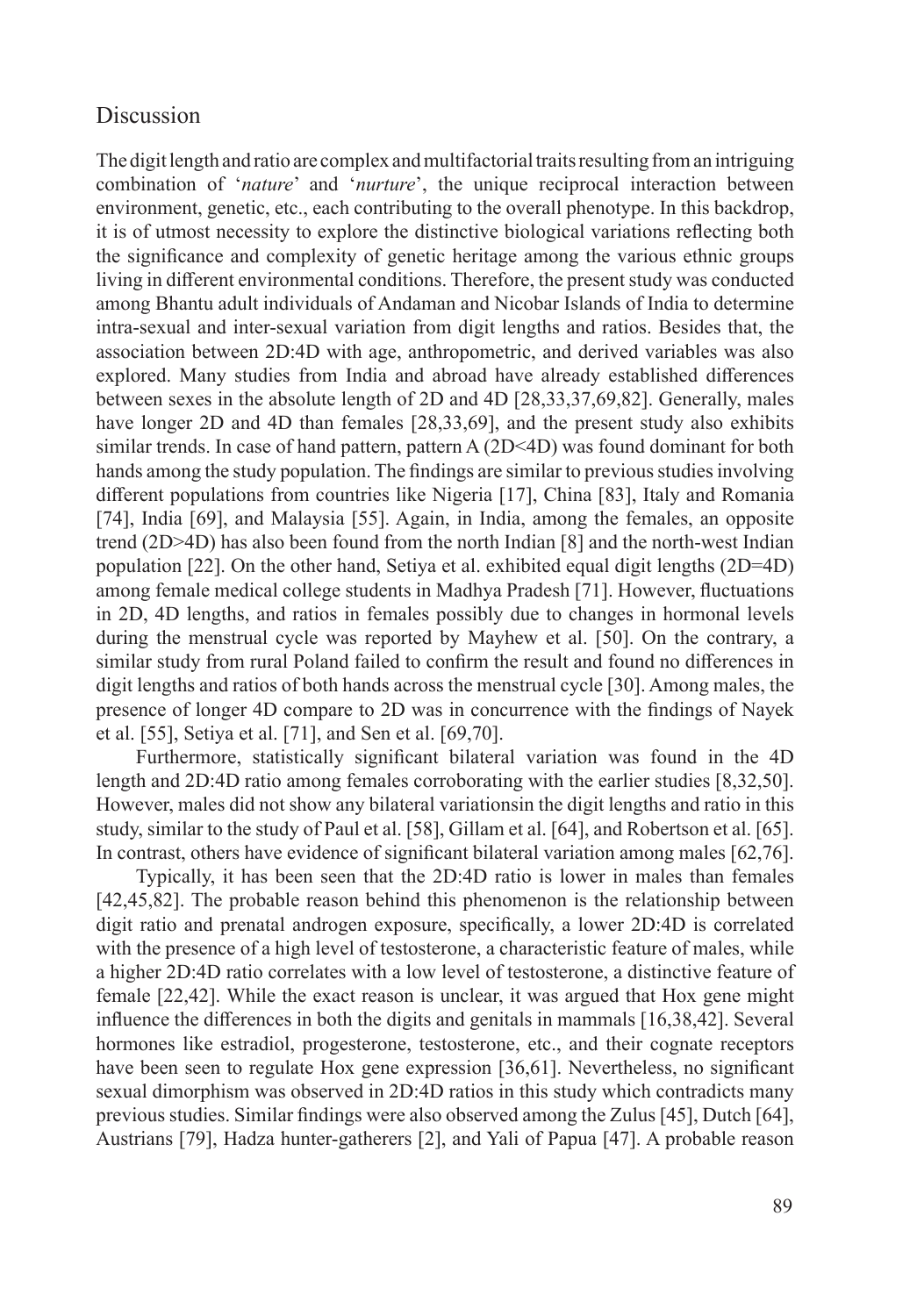#### **Discussion**

The digit length and ratio are complex and multifactorial traits resulting from an intriguing combination of '*nature*' and '*nurture*', the unique reciprocal interaction between environment, genetic, etc., each contributing to the overall phenotype. In this backdrop, it is of utmost necessity to explore the distinctive biological variations reflecting both the significance and complexity of genetic heritage among the various ethnic groups living in different environmental conditions. Therefore, the present study was conducted among Bhantu adult individuals of Andaman and Nicobar Islands of India to determine intra-sexual and inter-sexual variation from digit lengths and ratios. Besides that, the association between 2D:4D with age, anthropometric, and derived variables was also explored. Many studies from India and abroad have already established differences between sexes in the absolute length of 2D and 4D [28,33,37,69,82]. Generally, males have longer 2D and 4D than females [28,33,69], and the present study also exhibits similar trends. In case of hand pattern, pattern A (2D<4D) was found dominant for both hands among the study population. The findings are similar to previous studies involving different populations from countries like Nigeria [17], China [83], Italy and Romania [74], India [69], and Malaysia [55]. Again, in India, among the females, an opposite trend (2D>4D) has also been found from the north Indian [8] and the north-west Indian population [22]. On the other hand, Setiya et al. exhibited equal digit lengths (2D=4D) among female medical college students in Madhya Pradesh [71]. However, fluctuations in 2D, 4D lengths, and ratios in females possibly due to changes in hormonal levels during the menstrual cycle was reported by Mayhew et al. [50]. On the contrary, a similar study from rural Poland failed to confirm the result and found no differences in digit lengths and ratios of both hands across the menstrual cycle [30]. Among males, the presence of longer 4D compare to 2D was in concurrence with the findings of Nayek et al. [55], Setiya et al. [71], and Sen et al. [69,70].

Furthermore, statistically significant bilateral variation was found in the 4D length and 2D:4D ratio among females corroborating with the earlier studies [8,32,50]. However, males did not show any bilateral variationsin the digit lengths and ratio in this study, similar to the study of Paul et al. [58], Gillam et al. [64], and Robertson et al. [65]. In contrast, others have evidence of significant bilateral variation among males [62,76].

Typically, it has been seen that the 2D:4D ratio is lower in males than females [42,45,82]. The probable reason behind this phenomenon is the relationship between digit ratio and prenatal androgen exposure, specifically, a lower 2D:4D is correlated with the presence of a high level of testosterone, a characteristic feature of males, while a higher 2D:4D ratio correlates with a low level of testosterone, a distinctive feature of female [22,42]. While the exact reason is unclear, it was argued that Hox gene might influence the differences in both the digits and genitals in mammals [16,38,42]. Several hormones like estradiol, progesterone, testosterone, etc., and their cognate receptors have been seen to regulate Hox gene expression [36,61]. Nevertheless, no significant sexual dimorphism was observed in 2D:4D ratios in this study which contradicts many previous studies. Similar findings were also observed among the Zulus [45], Dutch [64], Austrians [79], Hadza hunter-gatherers [2], and Yali of Papua [47]. A probable reason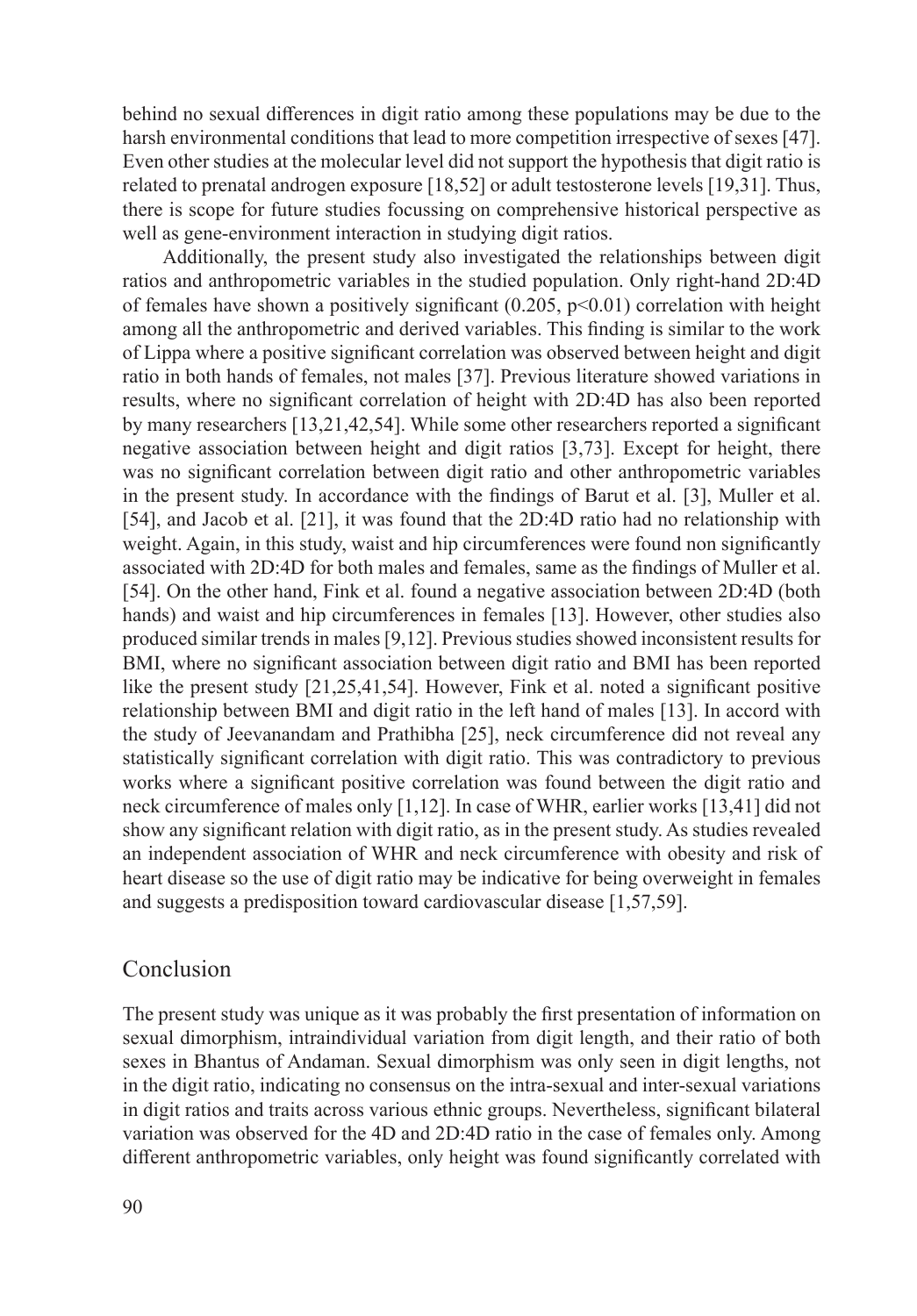behind no sexual differences in digit ratio among these populations may be due to the harsh environmental conditions that lead to more competition irrespective of sexes [47]. Even other studies at the molecular level did not support the hypothesis that digit ratio is related to prenatal androgen exposure [18,52] or adult testosterone levels [19,31]. Thus, there is scope for future studies focussing on comprehensive historical perspective as well as gene-environment interaction in studying digit ratios.

Additionally, the present study also investigated the relationships between digit ratios and anthropometric variables in the studied population. Only right-hand 2D:4D of females have shown a positively significant  $(0.205, p<0.01)$  correlation with height among all the anthropometric and derived variables. This finding is similar to the work of Lippa where a positive significant correlation was observed between height and digit ratio in both hands of females, not males [37]. Previous literature showed variations in results, where no significant correlation of height with 2D:4D has also been reported by many researchers [13,21,42,54]. While some other researchers reported a significant negative association between height and digit ratios [3,73]. Except for height, there was no significant correlation between digit ratio and other anthropometric variables in the present study. In accordance with the findings of Barut et al. [3], Muller et al. [54], and Jacob et al. [21], it was found that the 2D:4D ratio had no relationship with weight. Again, in this study, waist and hip circumferences were found non significantly associated with 2D:4D for both males and females, same as the findings of Muller et al. [54]. On the other hand, Fink et al. found a negative association between 2D:4D (both hands) and waist and hip circumferences in females [13]. However, other studies also produced similar trends in males [9,12]. Previous studies showed inconsistent results for BMI, where no significant association between digit ratio and BMI has been reported like the present study [21,25,41,54]. However, Fink et al. noted a significant positive relationship between BMI and digit ratio in the left hand of males [13]. In accord with the study of Jeevanandam and Prathibha [25], neck circumference did not reveal any statistically significant correlation with digit ratio. This was contradictory to previous works where a significant positive correlation was found between the digit ratio and neck circumference of males only [1,12]. In case of WHR, earlier works [13,41] did not show any significant relation with digit ratio, as in the present study. As studies revealed an independent association of WHR and neck circumference with obesity and risk of heart disease so the use of digit ratio may be indicative for being overweight in females and suggests a predisposition toward cardiovascular disease [1,57,59].

### Conclusion

The present study was unique as it was probably the first presentation of information on sexual dimorphism, intraindividual variation from digit length, and their ratio of both sexes in Bhantus of Andaman. Sexual dimorphism was only seen in digit lengths, not in the digit ratio, indicating no consensus on the intra-sexual and inter-sexual variations in digit ratios and traits across various ethnic groups. Nevertheless, significant bilateral variation was observed for the 4D and 2D:4D ratio in the case of females only. Among different anthropometric variables, only height was found significantly correlated with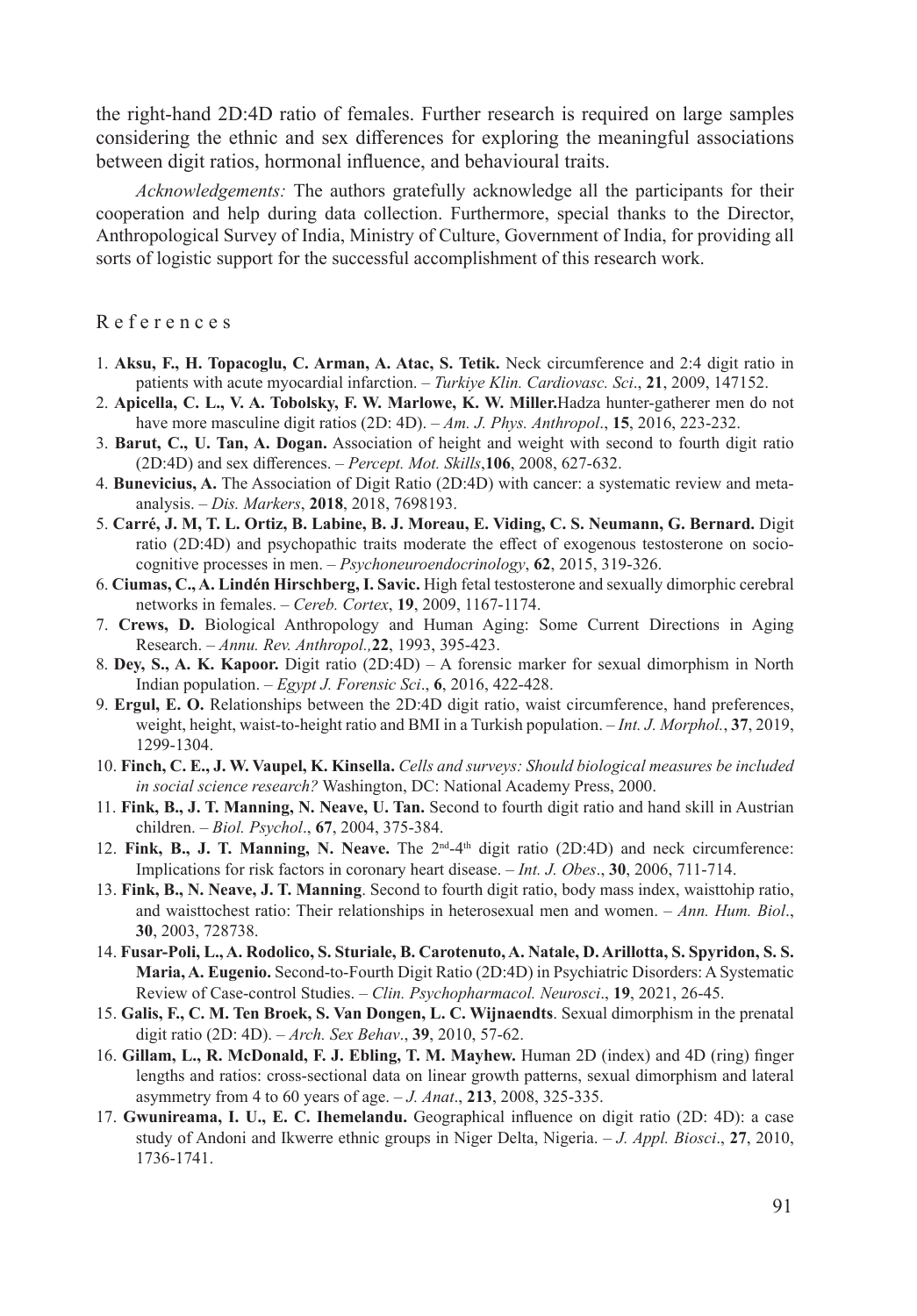the right-hand 2D:4D ratio of females. Further research is required on large samples considering the ethnic and sex differences for exploring the meaningful associations between digit ratios, hormonal influence, and behavioural traits.

*Acknowledgements:* The authors gratefully acknowledge all the participants for their cooperation and help during data collection. Furthermore, special thanks to the Director, Anthropological Survey of India, Ministry of Culture, Government of India, for providing all sorts of logistic support for the successful accomplishment of this research work.

R e f e r e n c e s

- 1. **Aksu, F., H. Topacoglu, C. Arman, A. Atac, S. Tetik.** Neck circumference and 2:4 digit ratio in patients with acute myocardial infarction. – *Turkiye Klin. Cardiovasc. Sci*., **21**, 2009, 147152.
- 2. **Apicella, C. L., V. A. Tobolsky, F. W. Marlowe, K. W. Miller.**Hadza hunter-gatherer men do not have more masculine digit ratios (2D: 4D). – *Am. J. Phys. Anthropol*., **15**, 2016, 223-232.
- 3. **Barut, C., U. Tan, A. Dogan.** Association of height and weight with second to fourth digit ratio (2D:4D) and sex differences. – *Percept. Mot. Skills*,**106**, 2008, 627-632.
- 4. **Bunevicius, A.** The Association of Digit Ratio (2D:4D) with cancer: a systematic review and metaanalysis. – *Dis. Markers*, **2018**, 2018, 7698193.
- 5. **Carré, J. M, T. L. Ortiz, B. Labine, B. J. Moreau, E. Viding, C. S. Neumann, G. Bernard.** Digit ratio (2D:4D) and psychopathic traits moderate the effect of exogenous testosterone on sociocognitive processes in men. – *Psychoneuroendocrinology*, **62**, 2015, 319-326.
- 6. **Ciumas, C., A. Lindén Hirschberg, I. Savic.** High fetal testosterone and sexually dimorphic cerebral networks in females. – *Cereb. Cortex*, **19**, 2009, 1167-1174.
- 7. **Crews, D.** Biological Anthropology and Human Aging: Some Current Directions in Aging Research. – *Annu. Rev. Anthropol.,***22**, 1993, 395-423.
- 8. **Dey, S., A. K. Kapoor.** Digit ratio (2D:4D) A forensic marker for sexual dimorphism in North Indian population. – *Egypt J. Forensic Sci*., **6**, 2016, 422-428.
- 9. **Ergul, E. O.** Relationships between the 2D:4D digit ratio, waist circumference, hand preferences, weight, height, waist-to-height ratio and BMI in a Turkish population. – *Int. J. Morphol.*, **37**, 2019, 1299-1304.
- 10. **Finch, C. E., J. W. Vaupel, K. Kinsella.** *Cells and surveys: Should biological measures be included in social science research?* Washington, DC: National Academy Press, 2000.
- 11. **Fink, B., J. T. Manning, N. Neave, U. Tan.** Second to fourth digit ratio and hand skill in Austrian children. – *Biol. Psychol*., **67**, 2004, 375-384.
- 12. **Fink, B., J. T. Manning, N. Neave.** The 2nd-4th digit ratio (2D:4D) and neck circumference: Implications for risk factors in coronary heart disease. – *Int. J. Obes*., **30**, 2006, 711-714.
- 13. **Fink, B., N. Neave, J. T. Manning**. Second to fourth digit ratio, body mass index, waisttohip ratio, and waisttochest ratio: Their relationships in heterosexual men and women. – *Ann. Hum. Biol*., **30**, 2003, 728738.
- 14. **Fusar-Poli, L., A. Rodolico, S. Sturiale, B. Carotenuto, A. Natale, D. Arillotta, S. Spyridon, S. S. Maria, A. Eugenio.** Second-to-Fourth Digit Ratio (2D:4D) in Psychiatric Disorders: A Systematic Review of Case-control Studies. – *Clin. Psychopharmacol. Neurosci*., **19**, 2021, 26-45.
- 15. **Galis, F., C. M. Ten Broek, S. Van Dongen, L. C. Wijnaendts**. Sexual dimorphism in the prenatal digit ratio (2D: 4D). – *Arch. Sex Behav*., **39**, 2010, 57-62.
- 16. **Gillam, L., R. McDonald, F. J. Ebling, T. M. Mayhew.** Human 2D (index) and 4D (ring) finger lengths and ratios: cross-sectional data on linear growth patterns, sexual dimorphism and lateral asymmetry from 4 to 60 years of age. – *J. Anat*., **213**, 2008, 325-335.
- 17. **Gwunireama, I. U., E. C. Ihemelandu.** Geographical influence on digit ratio (2D: 4D): a case study of Andoni and Ikwerre ethnic groups in Niger Delta, Nigeria. – *J. Appl. Biosci*., **27**, 2010, 1736-1741.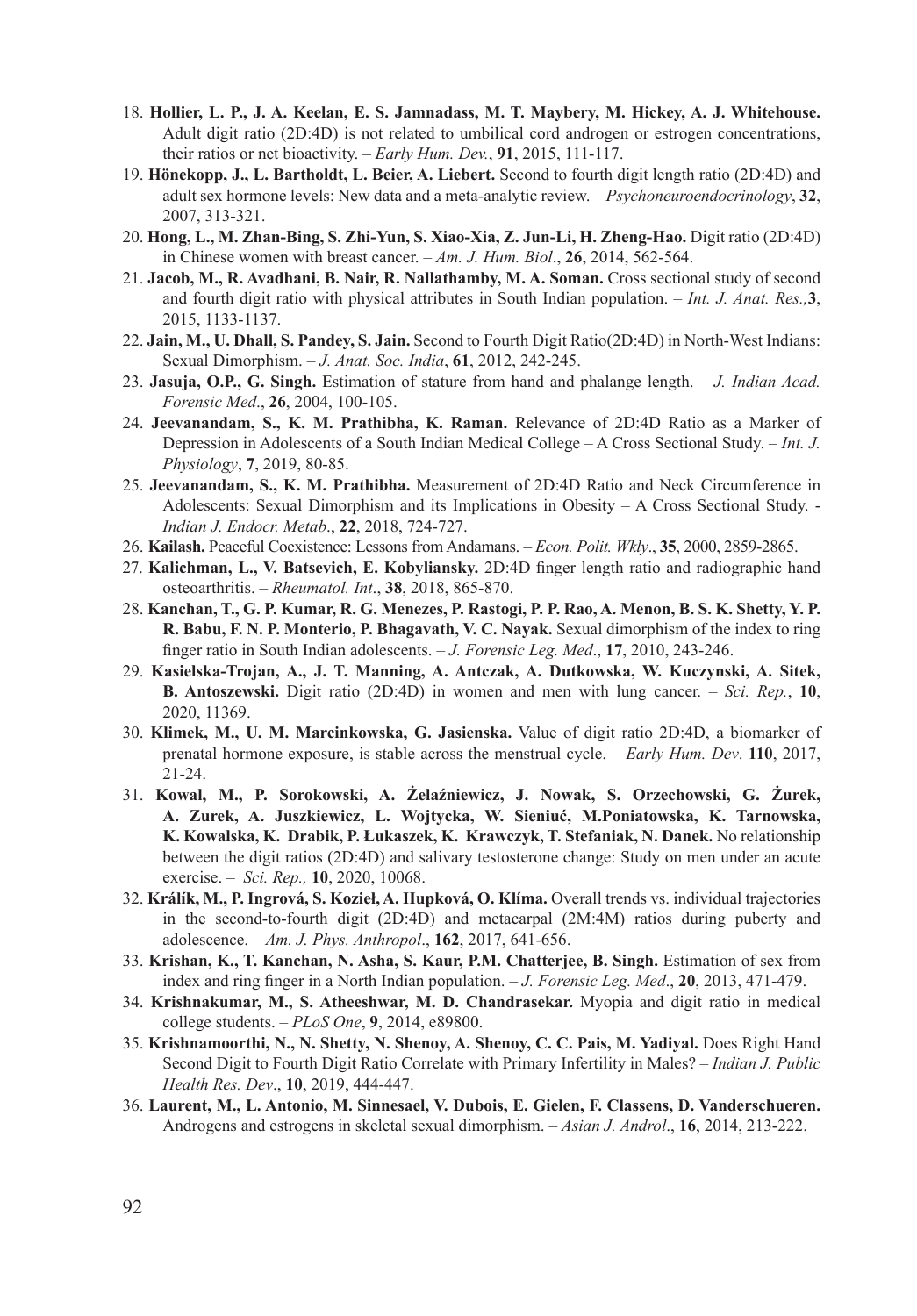- 18. **Hollier, L. P., J. A. Keelan, E. S. Jamnadass, M. T. Maybery, M. Hickey, A. J. Whitehouse.**  Adult digit ratio (2D:4D) is not related to umbilical cord androgen or estrogen concentrations, their ratios or net bioactivity. – *Early Hum. Dev.*, **91**, 2015, 111-117.
- 19. **Hönekopp, J., L. Bartholdt, L. Beier, A. Liebert.** Second to fourth digit length ratio (2D:4D) and adult sex hormone levels: New data and a meta-analytic review. – *Psychoneuroendocrinology*, **32**, 2007, 313-321.
- 20. **Hong, L., M. Zhan-Bing, S. Zhi-Yun, S. Xiao-Xia, Z. Jun-Li, H. Zheng-Hao.** Digit ratio (2D:4D) in Chinese women with breast cancer. – *Am. J. Hum. Biol*., **26**, 2014, 562-564.
- 21. **Jacob, M., R. Avadhani, B. Nair, R. Nallathamby, M. A. Soman.** Cross sectional study of second and fourth digit ratio with physical attributes in South Indian population. – *Int. J. Anat. Res.,***3**, 2015, 1133-1137.
- 22. **Jain, M., U. Dhall, S. Pandey, S. Jain.** Second to Fourth Digit Ratio(2D:4D) in North-West Indians: Sexual Dimorphism. – *J. Anat. Soc. India*, **61**, 2012, 242-245.
- 23. **Jasuja, O.P., G. Singh.** Estimation of stature from hand and phalange length. *J. Indian Acad. Forensic Med*., **26**, 2004, 100-105.
- 24. **Jeevanandam, S., K. M. Prathibha, K. Raman.** Relevance of 2D:4D Ratio as a Marker of Depression in Adolescents of a South Indian Medical College – A Cross Sectional Study. – *Int. J. Physiology*, **7**, 2019, 80-85.
- 25. **Jeevanandam, S., K. M. Prathibha.** Measurement of 2D:4D Ratio and Neck Circumference in Adolescents: Sexual Dimorphism and its Implications in Obesity – A Cross Sectional Study. - *Indian J. Endocr. Metab*., **22**, 2018, 724-727.
- 26. **Kailash.** Peaceful Coexistence: Lessons from Andamans. *Econ. Polit. Wkly*., **35**, 2000, 2859-2865.
- 27. **Kalichman, L., V. Batsevich, E. Kobyliansky.** 2D:4D finger length ratio and radiographic hand osteoarthritis. – *Rheumatol. Int*., **38**, 2018, 865-870.
- 28. **Kanchan, T., G. P. Kumar, R. G. Menezes, P. Rastogi, P. P. Rao, A. Menon, B. S. K. Shetty, Y. P. R. Babu, F. N. P. Monterio, P. Bhagavath, V. C. Nayak.** Sexual dimorphism of the index to ring finger ratio in South Indian adolescents. – *J. Forensic Leg. Med*., **17**, 2010, 243-246.
- 29. **Kasielska-Trojan, A., J. T. Manning, A. Antczak, A. Dutkowska, W. Kuczynski, A. Sitek, B. Antoszewski.** Digit ratio (2D:4D) in women and men with lung cancer. – *Sci. Rep.*, **10**, 2020, 11369.
- 30. **Klimek, M., U. M. Marcinkowska, G. Jasienska.** Value of digit ratio 2D:4D, a biomarker of prenatal hormone exposure, is stable across the menstrual cycle. – *Early Hum. Dev*. **110**, 2017, 21-24.
- 31. **Kowal, M., P. Sorokowski, A. Żelaźniewicz, J. Nowak, S. Orzechowski, G. Żurek, A. Zurek, A. Juszkiewicz, L. Wojtycka, W. Sieniuć, M.Poniatowska, K. Tarnowska, K. Kowalska, K. Drabik, P. Łukaszek, K. Krawczyk, T. Stefaniak, N. Danek.** No relationship between the digit ratios (2D:4D) and salivary testosterone change: Study on men under an acute exercise. – *Sci. Rep.,* **10**, 2020, 10068.
- 32. **Králík, M., P. Ingrová, S. Kozieł, A. Hupková, O. Klíma.** Overall trends vs. individual trajectories in the second-to-fourth digit (2D:4D) and metacarpal (2M:4M) ratios during puberty and adolescence. – *Am. J. Phys. Anthropol*., **162**, 2017, 641-656.
- 33. **Krishan, K., T. Kanchan, N. Asha, S. Kaur, P.M. Chatterjee, B. Singh.** Estimation of sex from index and ring finger in a North Indian population. – *J. Forensic Leg. Med*., **20**, 2013, 471-479.
- 34. **Krishnakumar, M., S. Atheeshwar, M. D. Chandrasekar.** Myopia and digit ratio in medical college students. – *PLoS One*, **9**, 2014, e89800.
- 35. **Krishnamoorthi, N., N. Shetty, N. Shenoy, A. Shenoy, C. C. Pais, M. Yadiyal.** Does Right Hand Second Digit to Fourth Digit Ratio Correlate with Primary Infertility in Males? – *Indian J. Public Health Res. Dev*., **10**, 2019, 444-447.
- 36. **Laurent, M., L. Antonio, M. Sinnesael, V. Dubois, E. Gielen, F. Classens, D. Vanderschueren.** Androgens and estrogens in skeletal sexual dimorphism. – *Asian J. Androl*., **16**, 2014, 213-222.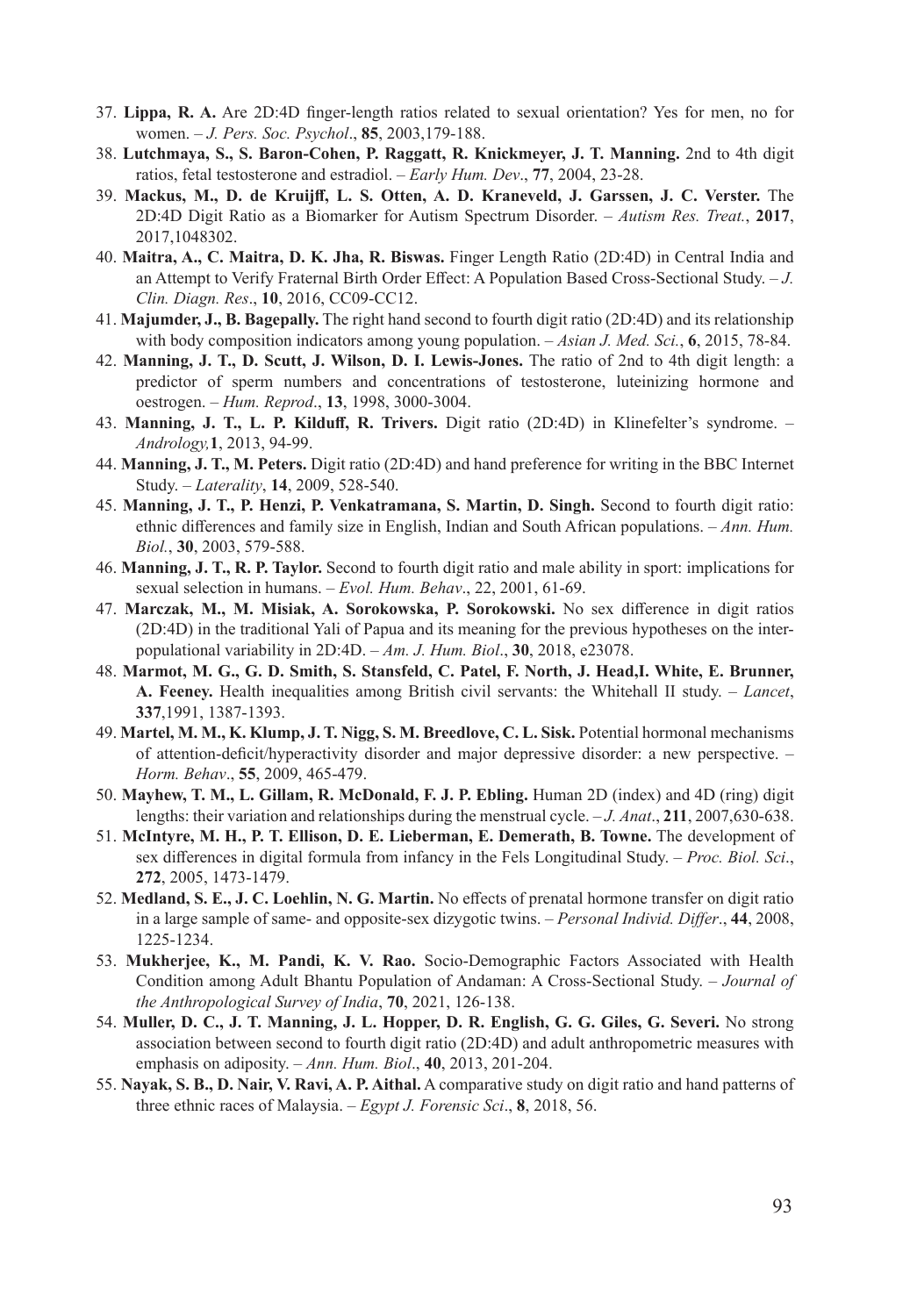- 37. **Lippa, R. A.** Are 2D:4D finger-length ratios related to sexual orientation? Yes for men, no for women. – *J. Pers. Soc. Psychol*., **85**, 2003,179-188.
- 38. **Lutchmaya, S., S. Baron-Cohen, P. Raggatt, R. Knickmeyer, J. T. Manning.** 2nd to 4th digit ratios, fetal testosterone and estradiol. – *Early Hum. Dev*., **77**, 2004, 23-28.
- 39. **Mackus, M., D. de Kruijff, L. S. Otten, A. D. Kraneveld, J. Garssen, J. C. Verster.** The 2D:4D Digit Ratio as a Biomarker for Autism Spectrum Disorder. – *Autism Res. Treat.*, **2017**, 2017,1048302.
- 40. **Maitra, A., C. Maitra, D. K. Jha, R. Biswas.** Finger Length Ratio (2D:4D) in Central India and an Attempt to Verify Fraternal Birth Order Effect: A Population Based Cross-Sectional Study. – *J. Clin. Diagn. Res*., **10**, 2016, CC09-CC12.
- 41. **Majumder, J., B. Bagepally.** The right hand second to fourth digit ratio (2D:4D) and its relationship with body composition indicators among young population. – *Asian J. Med. Sci.*, **6**, 2015, 78-84.
- 42. **Manning, J. T., D. Scutt, J. Wilson, D. I. Lewis-Jones.** The ratio of 2nd to 4th digit length: a predictor of sperm numbers and concentrations of testosterone, luteinizing hormone and oestrogen. – *Hum. Reprod*., **13**, 1998, 3000-3004.
- 43. **Manning, J. T., L. P. Kilduff, R. Trivers.** Digit ratio (2D:4D) in Klinefelter's syndrome. *Andrology,***1**, 2013, 94-99.
- 44. **Manning, J. T., M. Peters.** Digit ratio (2D:4D) and hand preference for writing in the BBC Internet Study. – *Laterality*, **14**, 2009, 528-540.
- 45. **Manning, J. T., P. Henzi, P. Venkatramana, S. Martin, D. Singh.** Second to fourth digit ratio: ethnic differences and family size in English, Indian and South African populations. – *Ann. Hum. Biol.*, **30**, 2003, 579-588.
- 46. **Manning, J. T., R. P. Taylor.** Second to fourth digit ratio and male ability in sport: implications for sexual selection in humans. – *Evol. Hum. Behav*., 22, 2001, 61-69.
- 47. **Marczak, M., M. Misiak, A. Sorokowska, P. Sorokowski.** No sex difference in digit ratios (2D:4D) in the traditional Yali of Papua and its meaning for the previous hypotheses on the interpopulational variability in 2D:4D. – *Am. J. Hum. Biol*., **30**, 2018, e23078.
- 48. **Marmot, M. G., G. D. Smith, S. Stansfeld, C. Patel, F. North, J. Head,I. White, E. Brunner, A. Feeney.** Health inequalities among British civil servants: the Whitehall II study. – *Lancet*, **337**,1991, 1387-1393.
- 49. **Martel, M. M., K. Klump, J. T. Nigg, S. M. Breedlove, C. L. Sisk.** Potential hormonal mechanisms of attention-deficit/hyperactivity disorder and major depressive disorder: a new perspective. – *Horm. Behav*., **55**, 2009, 465-479.
- 50. **Mayhew, T. M., L. Gillam, R. McDonald, F. J. P. Ebling.** Human 2D (index) and 4D (ring) digit lengths: their variation and relationships during the menstrual cycle. – *J. Anat*., **211**, 2007,630-638.
- 51. **McIntyre, M. H., P. T. Ellison, D. E. Lieberman, E. Demerath, B. Towne.** The development of sex differences in digital formula from infancy in the Fels Longitudinal Study. – *Proc. Biol. Sci*., **272**, 2005, 1473-1479.
- 52. **Medland, S. E., J. C. Loehlin, N. G. Martin.** No effects of prenatal hormone transfer on digit ratio in a large sample of same- and opposite-sex dizygotic twins. – *Personal Individ. Differ*., **44**, 2008, 1225-1234.
- 53. **Mukherjee, K., M. Pandi, K. V. Rao.** Socio-Demographic Factors Associated with Health Condition among Adult Bhantu Population of Andaman: A Cross-Sectional Study. – *Journal of the Anthropological Survey of India*, **70**, 2021, 126-138.
- 54. **Muller, D. C., J. T. Manning, J. L. Hopper, D. R. English, G. G. Giles, G. Severi.** No strong association between second to fourth digit ratio (2D:4D) and adult anthropometric measures with emphasis on adiposity. – *Ann. Hum. Biol*., **40**, 2013, 201-204.
- 55. **Nayak, S. B., D. Nair, V. Ravi, A. P. Aithal.** A comparative study on digit ratio and hand patterns of three ethnic races of Malaysia. – *Egypt J. Forensic Sci*., **8**, 2018, 56.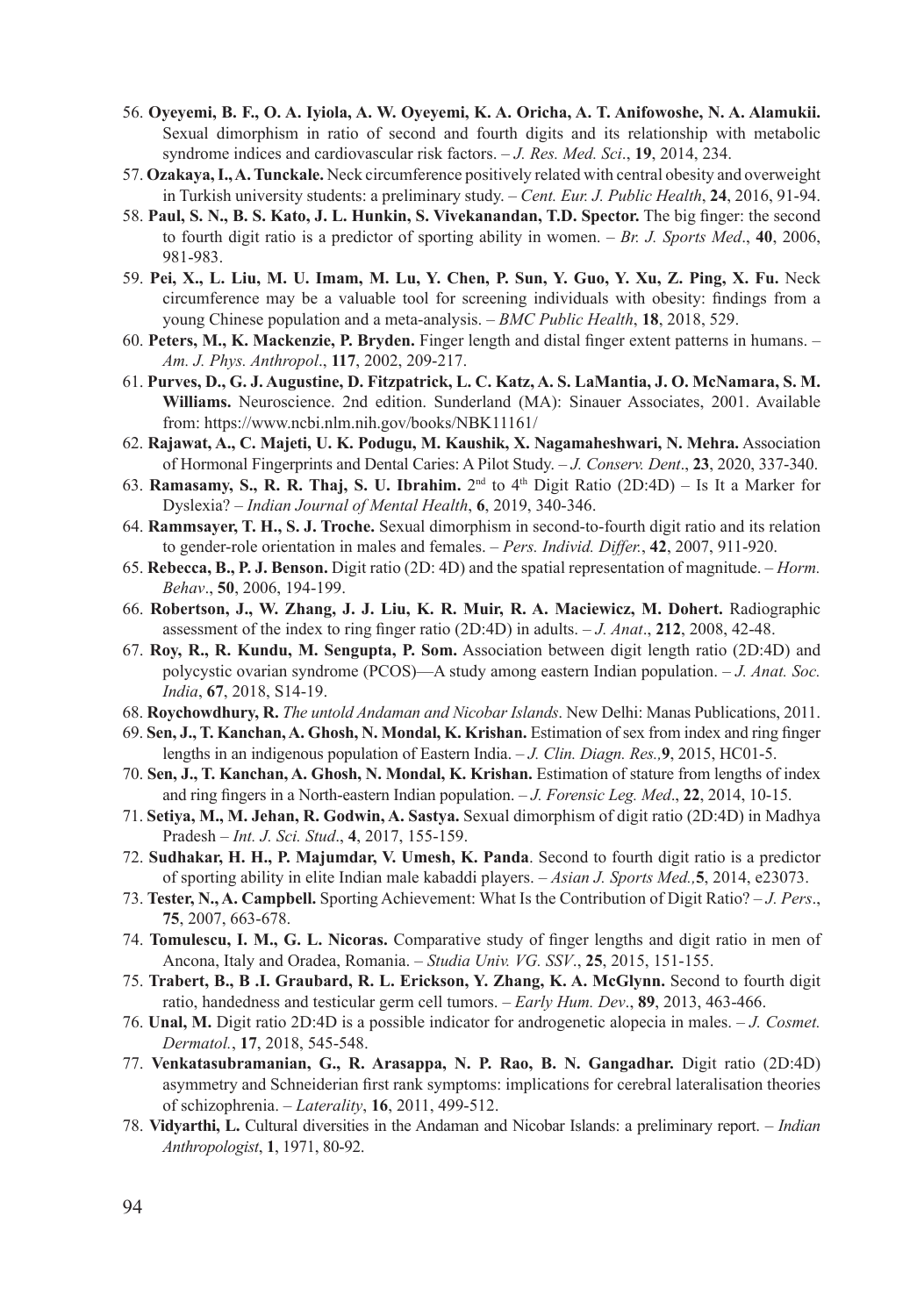- 56. **Oyeyemi, B. F., O. A. Iyiola, A. W. Oyeyemi, K. A. Oricha, A. T. Anifowoshe, N. A. Alamukii.** Sexual dimorphism in ratio of second and fourth digits and its relationship with metabolic syndrome indices and cardiovascular risk factors. – *J. Res. Med. Sci*., **19**, 2014, 234.
- 57. **Ozakaya, I., A. Tunckale.** Neck circumference positively related with central obesity and overweight in Turkish university students: a preliminary study. – *Cent. Eur. J. Public Health*, **24**, 2016, 91-94.
- 58. **Paul, S. N., B. S. Kato, J. L. Hunkin, S. Vivekanandan, T.D. Spector.** The big finger: the second to fourth digit ratio is a predictor of sporting ability in women. – *Br. J. Sports Med*., **40**, 2006, 981-983.
- 59. **Pei, X., L. Liu, M. U. Imam, M. Lu, Y. Chen, P. Sun, Y. Guo, Y. Xu, Z. Ping, X. Fu.** Neck circumference may be a valuable tool for screening individuals with obesity: findings from a young Chinese population and a meta-analysis. – *BMC Public Health*, **18**, 2018, 529.
- 60. **Peters, M., K. Mackenzie, P. Bryden.** Finger length and distal finger extent patterns in humans. *Am. J. Phys. Anthropol*., **117**, 2002, 209-217.
- 61. **Purves, D., G. J. Augustine, D. Fitzpatrick, L. C. Katz, A. S. LaMantia, J. O. McNamara, S. M. Williams.** Neuroscience. 2nd edition. Sunderland (MA): Sinauer Associates, 2001. Available from: https://www.ncbi.nlm.nih.gov/books/NBK11161/
- 62. **Rajawat, A., C. Majeti, U. K. Podugu, M. Kaushik, X. Nagamaheshwari, N. Mehra.** Association of Hormonal Fingerprints and Dental Caries: A Pilot Study. – *J. Conserv. Dent*., **23**, 2020, 337-340.
- 63. **Ramasamy, S., R. R. Thaj, S. U. Ibrahim.** 2nd to 4th Digit Ratio (2D:4D) Is It a Marker for Dyslexia? – *Indian Journal of Mental Health*, **6**, 2019, 340-346.
- 64. **Rammsayer, T. H., S. J. Troche.** Sexual dimorphism in second-to-fourth digit ratio and its relation to gender-role orientation in males and females. – *Pers. Individ. Differ.*, **42**, 2007, 911-920.
- 65. **Rebecca, B., P. J. Benson.** Digit ratio (2D: 4D) and the spatial representation of magnitude. *Horm. Behav*., **50**, 2006, 194-199.
- 66. **Robertson, J., W. Zhang, J. J. Liu, K. R. Muir, R. A. Maciewicz, M. Dohert.** Radiographic assessment of the index to ring finger ratio (2D:4D) in adults. – *J. Anat*., **212**, 2008, 42-48.
- 67. **Roy, R., R. Kundu, M. Sengupta, P. Som.** Association between digit length ratio (2D:4D) and polycystic ovarian syndrome (PCOS)—A study among eastern Indian population. – *J. Anat. Soc. India*, **67**, 2018, S14-19.
- 68. **Roychowdhury, R.** *The untold Andaman and Nicobar Islands*. New Delhi: Manas Publications, 2011.
- 69. **Sen, J., T. Kanchan, A. Ghosh, N. Mondal, K. Krishan.** Estimation of sex from index and ring finger lengths in an indigenous population of Eastern India. – *J. Clin. Diagn. Res.,***9**, 2015, HC01-5.
- 70. **Sen, J., T. Kanchan, A. Ghosh, N. Mondal, K. Krishan.** Estimation of stature from lengths of index and ring fingers in a North-eastern Indian population. – *J. Forensic Leg. Med*., **22**, 2014, 10-15.
- 71. **Setiya, M., M. Jehan, R. Godwin, A. Sastya.** Sexual dimorphism of digit ratio (2D:4D) in Madhya Pradesh – *Int. J. Sci. Stud*., **4**, 2017, 155-159.
- 72. **Sudhakar, H. H., P. Majumdar, V. Umesh, K. Panda**. Second to fourth digit ratio is a predictor of sporting ability in elite Indian male kabaddi players. – *Asian J. Sports Med.,***5**, 2014, e23073.
- 73. **Tester, N., A. Campbell.** Sporting Achievement: What Is the Contribution of Digit Ratio? *J. Pers*., **75**, 2007, 663-678.
- 74. **Tomulescu, I. M., G. L. Nicoras.** Comparative study of finger lengths and digit ratio in men of Ancona, Italy and Oradea, Romania. – *Studia Univ. VG. SSV*., **25**, 2015, 151-155.
- 75. **Trabert, B., B .I. Graubard, R. L. Erickson, Y. Zhang, K. A. McGlynn.** Second to fourth digit ratio, handedness and testicular germ cell tumors. – *Early Hum. Dev*., **89**, 2013, 463-466.
- 76. **Unal, M.** Digit ratio 2D:4D is a possible indicator for androgenetic alopecia in males. *J. Cosmet. Dermatol.*, **17**, 2018, 545-548.
- 77. **Venkatasubramanian, G., R. Arasappa, N. P. Rao, B. N. Gangadhar.** Digit ratio (2D:4D) asymmetry and Schneiderian first rank symptoms: implications for cerebral lateralisation theories of schizophrenia. – *Laterality*, **16**, 2011, 499-512.
- 78. **Vidyarthi, L.** Cultural diversities in the Andaman and Nicobar Islands: a preliminary report. *Indian Anthropologist*, **1**, 1971, 80-92.